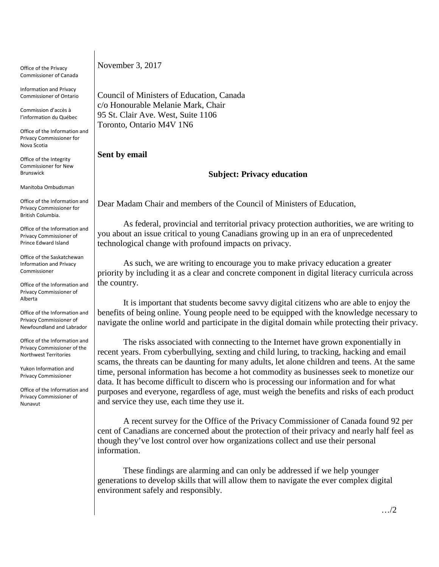Office of the Privacy Commissioner of Canada

Information and Privacy Commissioner of Ontario

Commission d'accès à l'information du Québec

Office of the Information and Privacy Commissioner for Nova Scotia

Office of the Integrity Commissioner for New Brunswick

Manitoba Ombudsman

Office of the Information and Privacy Commissioner for British Columbia.

Office of the Information and Privacy Commissioner of Prince Edward Island

Office of the Saskatchewan Information and Privacy Commissioner

Office of the Information and Privacy Commissioner of Alberta

Office of the Information and Privacy Commissioner of Newfoundland and Labrador

Office of the Information and Privacy Commissioner of the Northwest Territories

Yukon Information and Privacy Commissioner

Office of the Information and Privacy Commissioner of Nunavut

November 3, 2017

Council of Ministers of Education, Canada c/o Honourable Melanie Mark, Chair 95 St. Clair Ave. West, Suite 1106 Toronto, Ontario M4V 1N6

## **Sent by email**

## **Subject: Privacy education**

Dear Madam Chair and members of the Council of Ministers of Education,

As federal, provincial and territorial privacy protection authorities, we are writing to you about an issue critical to young Canadians growing up in an era of unprecedented technological change with profound impacts on privacy.

As such, we are writing to encourage you to make privacy education a greater priority by including it as a clear and concrete component in digital literacy curricula across the country.

It is important that students become savvy digital citizens who are able to enjoy the benefits of being online. Young people need to be equipped with the knowledge necessary to navigate the online world and participate in the digital domain while protecting their privacy.

The risks associated with connecting to the Internet have grown exponentially in recent years. From cyberbullying, sexting and child luring, to tracking, hacking and email scams, the threats can be daunting for many adults, let alone children and teens. At the same time, personal information has become a hot commodity as businesses seek to monetize our data. It has become difficult to discern who is processing our information and for what purposes and everyone, regardless of age, must weigh the benefits and risks of each product and service they use, each time they use it.

A recent survey for the Office of the Privacy Commissioner of Canada found 92 per cent of Canadians are concerned about the protection of their privacy and nearly half feel as though they've lost control over how organizations collect and use their personal information.

These findings are alarming and can only be addressed if we help younger generations to develop skills that will allow them to navigate the ever complex digital environment safely and responsibly.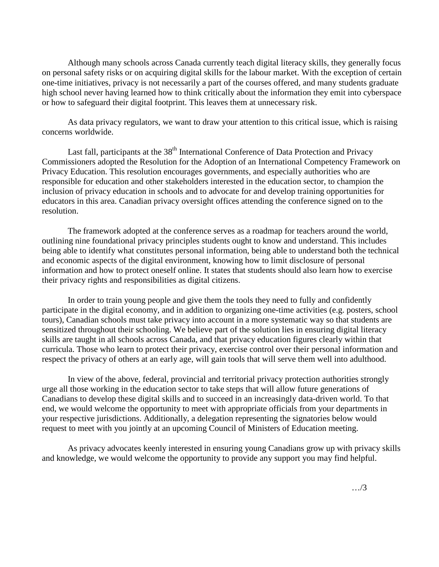Although many schools across Canada currently teach digital literacy skills, they generally focus on personal safety risks or on acquiring digital skills for the labour market. With the exception of certain one-time initiatives, privacy is not necessarily a part of the courses offered, and many students graduate high school never having learned how to think critically about the information they emit into cyberspace or how to safeguard their digital footprint. This leaves them at unnecessary risk.

As data privacy regulators, we want to draw your attention to this critical issue, which is raising concerns worldwide.

Last fall, participants at the 38<sup>th</sup> International Conference of Data Protection and Privacy Commissioners adopted the Resolution for the Adoption of an International Competency Framework on Privacy Education. This resolution encourages governments, and especially authorities who are responsible for education and other stakeholders interested in the education sector, to champion the inclusion of privacy education in schools and to advocate for and develop training opportunities for educators in this area. Canadian privacy oversight offices attending the conference signed on to the resolution.

The framework adopted at the conference serves as a roadmap for teachers around the world, outlining nine foundational privacy principles students ought to know and understand. This includes being able to identify what constitutes personal information, being able to understand both the technical and economic aspects of the digital environment, knowing how to limit disclosure of personal information and how to protect oneself online. It states that students should also learn how to exercise their privacy rights and responsibilities as digital citizens.

In order to train young people and give them the tools they need to fully and confidently participate in the digital economy, and in addition to organizing one-time activities (e.g. posters, school tours), Canadian schools must take privacy into account in a more systematic way so that students are sensitized throughout their schooling. We believe part of the solution lies in ensuring digital literacy skills are taught in all schools across Canada, and that privacy education figures clearly within that curricula. Those who learn to protect their privacy, exercise control over their personal information and respect the privacy of others at an early age, will gain tools that will serve them well into adulthood.

In view of the above, federal, provincial and territorial privacy protection authorities strongly urge all those working in the education sector to take steps that will allow future generations of Canadians to develop these digital skills and to succeed in an increasingly data-driven world. To that end, we would welcome the opportunity to meet with appropriate officials from your departments in your respective jurisdictions. Additionally, a delegation representing the signatories below would request to meet with you jointly at an upcoming Council of Ministers of Education meeting.

As privacy advocates keenly interested in ensuring young Canadians grow up with privacy skills and knowledge, we would welcome the opportunity to provide any support you may find helpful.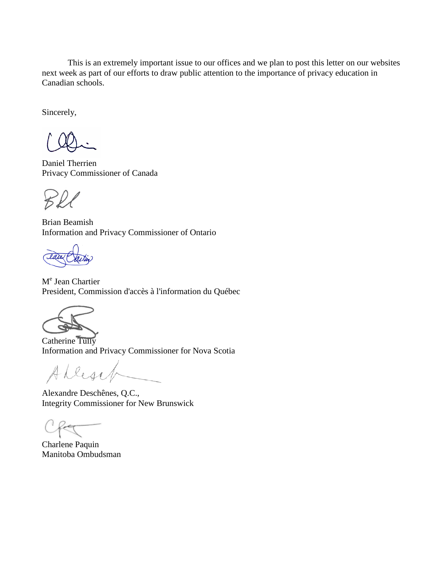This is an extremely important issue to our offices and we plan to post this letter on our websites next week as part of our efforts to draw public attention to the importance of privacy education in Canadian schools.

Sincerely,

Daniel Therrien Privacy Commissioner of Canada

Brian Beamish Information and Privacy Commissioner of Ontario

M<sup>e</sup> Jean Chartier President, Commission d'accès à l'information du Québec



Catherine Tully Information and Privacy Commissioner for Nova Scotia

Allesif

Alexandre Deschênes, Q.C., Integrity Commissioner for New Brunswick

Charlene Paquin Manitoba Ombudsman